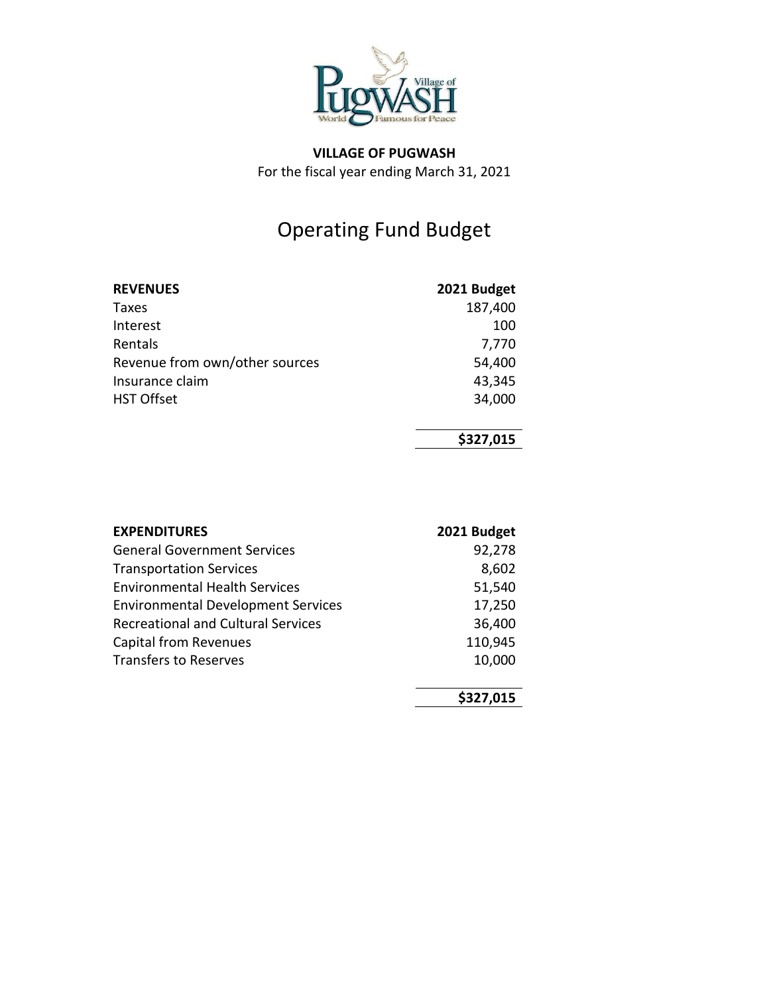

## Operating Fund Budget

| <b>REVENUES</b>                | 2021 Budget |
|--------------------------------|-------------|
| Taxes                          | 187,400     |
| Interest                       | 100         |
| Rentals                        | 7,770       |
| Revenue from own/other sources | 54,400      |
| Insurance claim                | 43,345      |
| <b>HST Offset</b>              | 34,000      |
|                                |             |

### **\$327,015**

| <b>EXPENDITURES</b>                       | 2021 Budget |
|-------------------------------------------|-------------|
| <b>General Government Services</b>        | 92,278      |
| <b>Transportation Services</b>            | 8,602       |
| <b>Environmental Health Services</b>      | 51,540      |
| <b>Environmental Development Services</b> | 17,250      |
| <b>Recreational and Cultural Services</b> | 36,400      |
| <b>Capital from Revenues</b>              | 110,945     |
| <b>Transfers to Reserves</b>              | 10,000      |
|                                           |             |
|                                           | \$327,015   |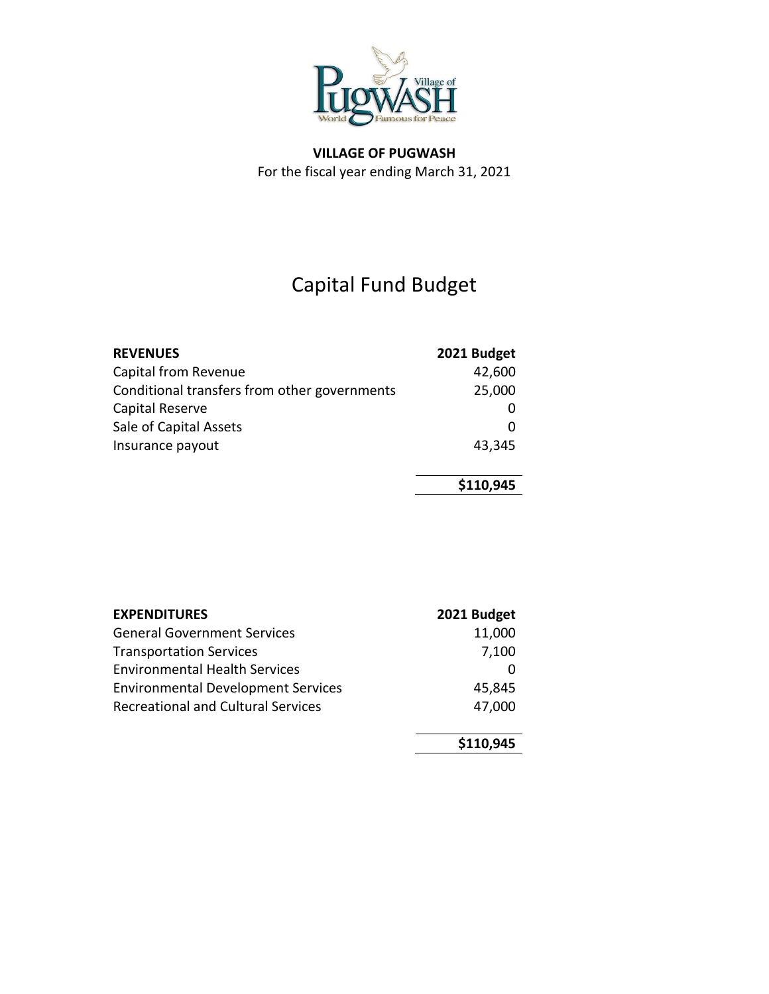

## Capital Fund Budget

| <b>REVENUES</b>                              | 2021 Budget |
|----------------------------------------------|-------------|
| Capital from Revenue                         | 42,600      |
| Conditional transfers from other governments | 25,000      |
| Capital Reserve                              |             |
| Sale of Capital Assets                       |             |
| Insurance payout                             | 43,345      |
|                                              |             |
|                                              | \$110,945   |

| <b>EXPENDITURES</b>                       | 2021 Budget |
|-------------------------------------------|-------------|
| <b>General Government Services</b>        | 11,000      |
| <b>Transportation Services</b>            | 7,100       |
| <b>Environmental Health Services</b>      |             |
| <b>Environmental Development Services</b> | 45,845      |
| <b>Recreational and Cultural Services</b> | 47,000      |
|                                           | \$110,945   |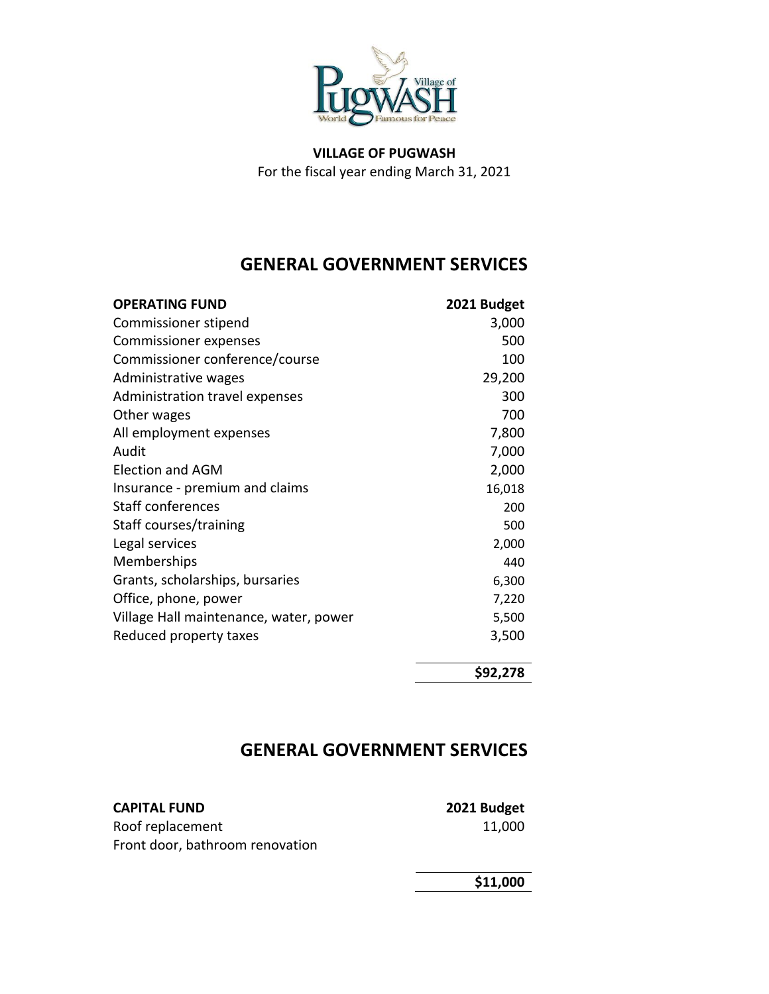

## **GENERAL GOVERNMENT SERVICES**

| <b>OPERATING FUND</b>                  | 2021 Budget |
|----------------------------------------|-------------|
| Commissioner stipend                   | 3,000       |
| <b>Commissioner expenses</b>           | 500         |
| Commissioner conference/course         | 100         |
| Administrative wages                   | 29,200      |
| Administration travel expenses         | 300         |
| Other wages                            | 700         |
| All employment expenses                | 7,800       |
| Audit                                  | 7,000       |
| <b>Election and AGM</b>                | 2,000       |
| Insurance - premium and claims         | 16,018      |
| Staff conferences                      | 200         |
| Staff courses/training                 | 500         |
| Legal services                         | 2,000       |
| Memberships                            | 440         |
| Grants, scholarships, bursaries        | 6,300       |
| Office, phone, power                   | 7,220       |
| Village Hall maintenance, water, power | 5,500       |
| Reduced property taxes                 | 3,500       |
|                                        |             |
|                                        | $\lambda$   |

**\$92,278**

## **GENERAL GOVERNMENT SERVICES**

**CAPITAL FUND 2021 Budget** Roof replacement 11,000 Front door, bathroom renovation

**\$11,000**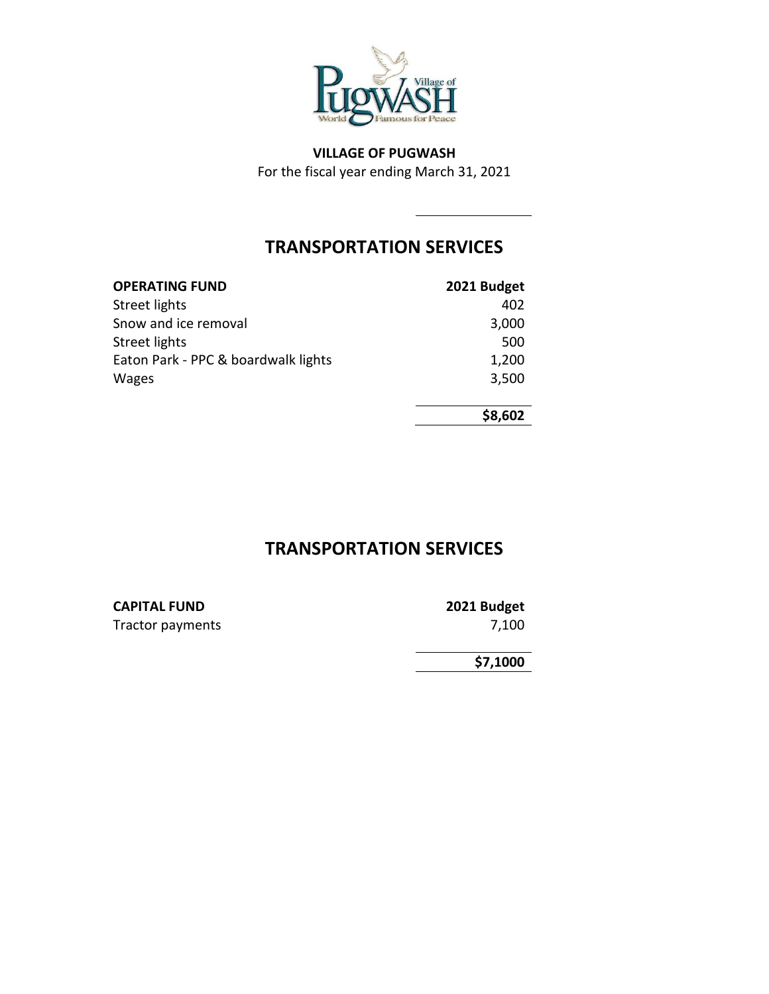

## **TRANSPORTATION SERVICES**

| <b>OPERATING FUND</b>               | 2021 Budget |
|-------------------------------------|-------------|
| Street lights                       | 402         |
| Snow and ice removal                | 3,000       |
| Street lights                       | 500         |
| Eaton Park - PPC & boardwalk lights | 1,200       |
| <b>Wages</b>                        | 3,500       |

**\$8,602**

## **TRANSPORTATION SERVICES**

# **CAPITAL FUND 2021 Budget**

Tractor payments 7,100

**\$7,1000**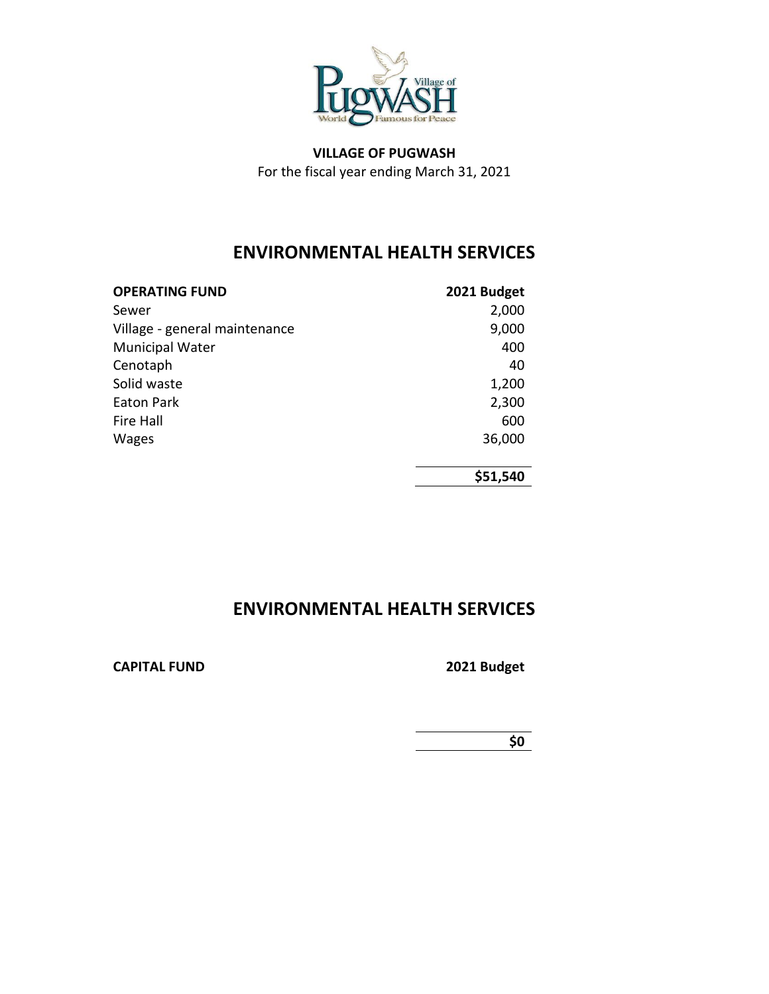

## **ENVIRONMENTAL HEALTH SERVICES**

| <b>OPERATING FUND</b>         | 2021 Budget |
|-------------------------------|-------------|
| Sewer                         | 2,000       |
| Village - general maintenance | 9,000       |
| <b>Municipal Water</b>        | 400         |
| Cenotaph                      | 40          |
| Solid waste                   | 1,200       |
| Eaton Park                    | 2,300       |
| Fire Hall                     | 600         |
| <b>Wages</b>                  | 36,000      |
|                               |             |
|                               | \$51,540    |

## **ENVIRONMENTAL HEALTH SERVICES**

#### **CAPITAL FUND 2021 Budget**

**\$0**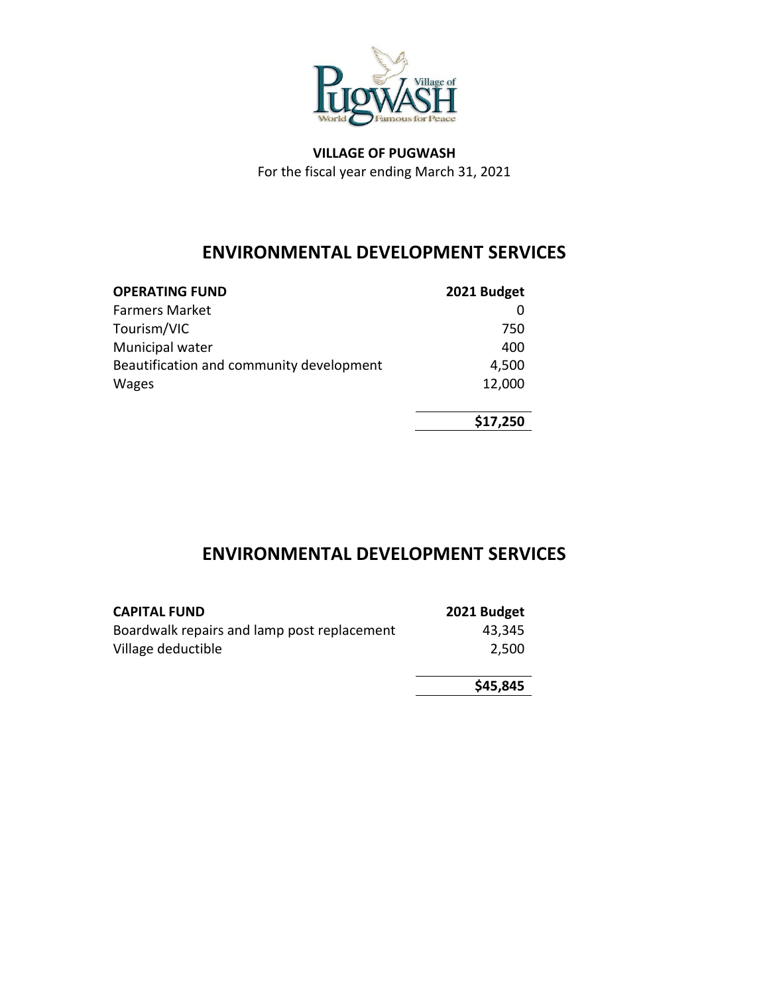

## **ENVIRONMENTAL DEVELOPMENT SERVICES**

| <b>OPERATING FUND</b>                    | 2021 Budget |
|------------------------------------------|-------------|
| <b>Farmers Market</b>                    |             |
| Tourism/VIC                              | 750         |
| Municipal water                          | 400         |
| Beautification and community development | 4,500       |
| <b>Wages</b>                             | 12,000      |
|                                          |             |
|                                          | \$17,250    |

## **ENVIRONMENTAL DEVELOPMENT SERVICES**

| <b>CAPITAL FUND</b>                         | 2021 Budget |
|---------------------------------------------|-------------|
| Boardwalk repairs and lamp post replacement | 43,345      |
| Village deductible                          | 2,500       |
|                                             |             |
|                                             | \$45,845    |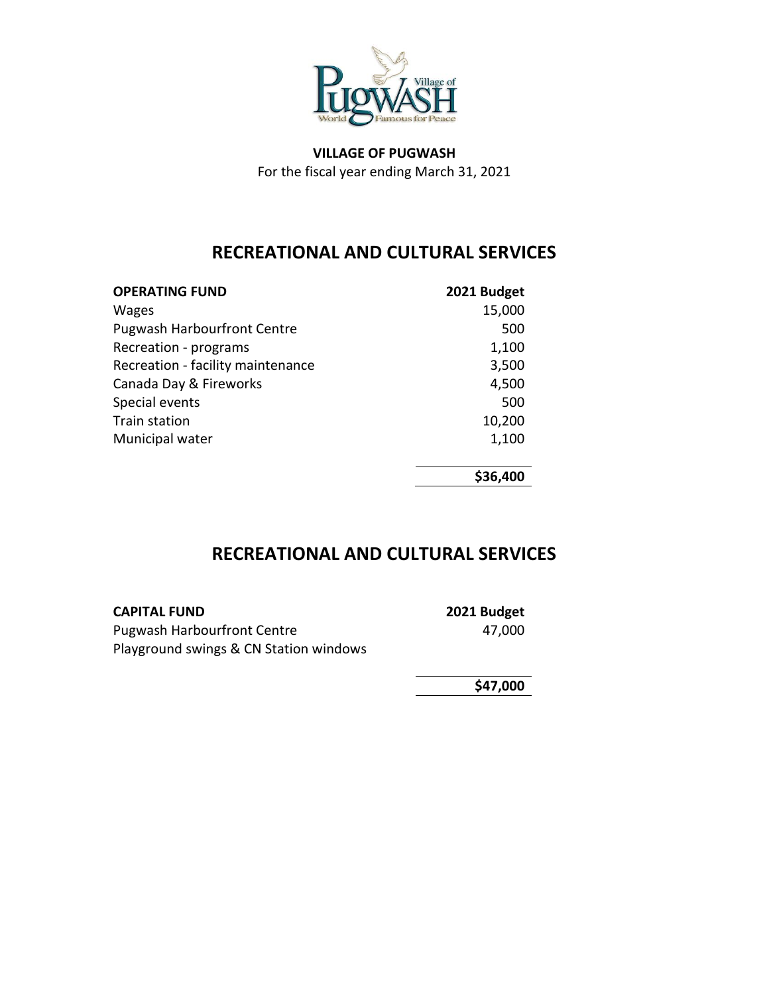

## **RECREATIONAL AND CULTURAL SERVICES**

| <b>OPERATING FUND</b>              | 2021 Budget |
|------------------------------------|-------------|
| <b>Wages</b>                       | 15,000      |
| <b>Pugwash Harbourfront Centre</b> | 500         |
| Recreation - programs              | 1,100       |
| Recreation - facility maintenance  | 3,500       |
| Canada Day & Fireworks             | 4,500       |
| Special events                     | 500         |
| <b>Train station</b>               | 10,200      |
| Municipal water                    | 1,100       |
|                                    | \$36,400    |

## **RECREATIONAL AND CULTURAL SERVICES**

| <b>CAPITAL FUND</b>                    | 2021 Budget |
|----------------------------------------|-------------|
| <b>Pugwash Harbourfront Centre</b>     | 47.000      |
| Playground swings & CN Station windows |             |

**\$47,000**